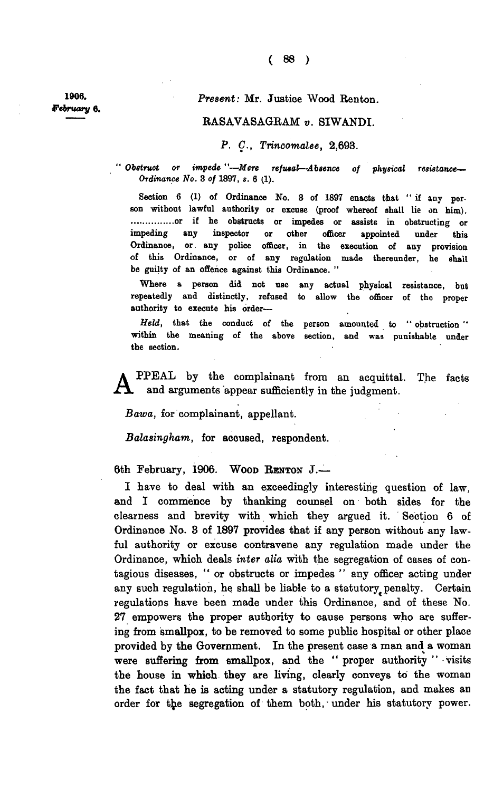**1906.**  *•February* **6 .** 

*Present:* **Mr. Justice Wood Renton.** 

## **RASAVASAGRAM** *v.* **SIWANDI.**

*P. C., Trincomalee,* **2,693.** 

*Obstruct or impede "—Mere refusal—Absence of physical resistance— Ordinance No.* 3 *of* 1897, s. 6 (1).

**Section 6 (1) of Ordinance No. 3 of 1897 enacts that " if any person without lawful authority or excuse (proof whereof shall lie on him). or if he obstructs or impedes or assists in obstructing or impeding any inspector or other officer appointed under this Ordinance, or any police officer, in the execution of any provision of this Ordinance, or of any regulation made thereunder, he shall be guilty of an offence against this Ordinance. "** 

Where a person did not use any actual physical resistance, but **repeatedly and distinctly, refused to allow the officer of the proper authority to execute his order—** 

*Held,* **that the conduct of the person amounted to " obstruction " within the meaning of the above section, and was punishable under the section.** 

A **PPEAL by the complainant from an acquittal. The facts and arguments appear sufficiently in the judgment.** 

*Bawa,* **for complainant, appellant.** 

*Balasingham,* **for accused, respondent.** 

**6th February, 1906. WOO D RENTO <sup>N</sup> J.—** 

**I have to deal with an exceedingly interesting question of law, and I commence by thanking counsel on both sides for the clearness and brevity with which they argued it. Section 6 of Ordinance No. 3 of 1897 provides that if any person without any lawful authority or excuse contravene any regulation made under the Ordinance, which deals** *inter alia* **with the segregation of cases of contagious diseases, " or obstructs or impedes " any officer acting under**  any such regulation, he shall be liable to a statutory penalty. Certain **regulations have been made under this Ordinance, and of these No. 27 empowers the proper authority to cause persons who are suffering from smallpox, to be removed to some public hospital or other place provided by the Government. In the present case a man and a woman were suffering from smallpox, and the " proper authority " visits the house in which they are living, clearly conveys to the woman the fact that he is acting under a statutory regulation, and makes an**  order for the segregation of them both, under his statutory power.